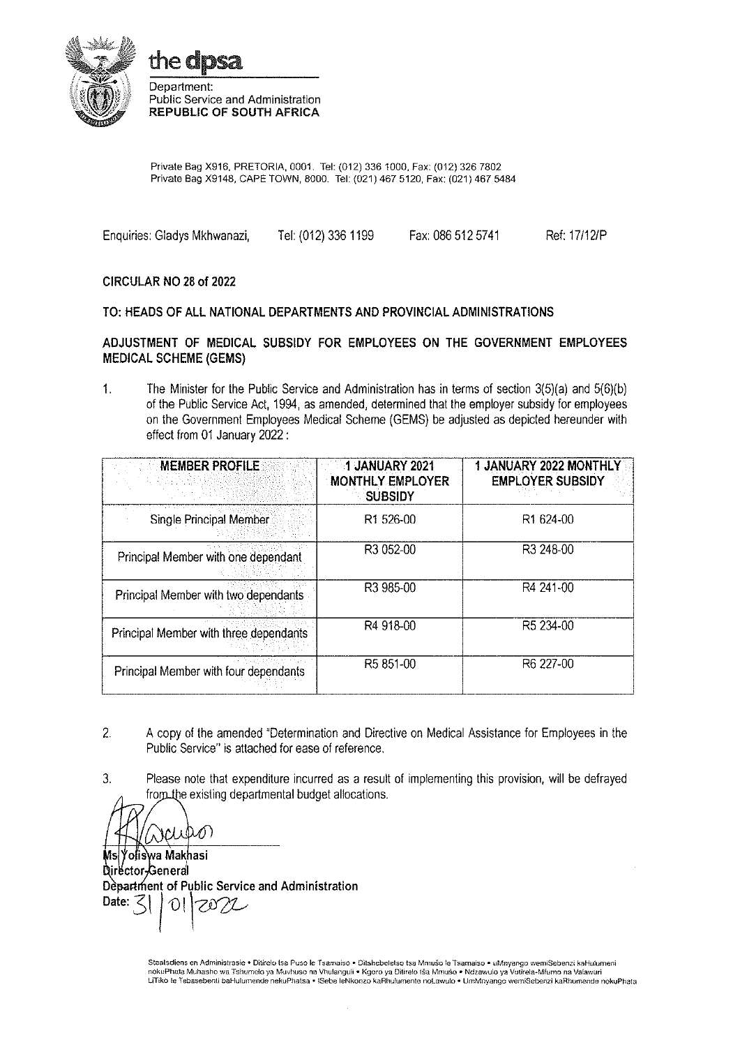



Department: Public Service and Administration **REPUBLIC OF SOUTH AFRICA** 

Private Bag X916, PRETORIA, 0001. Tel: (012) 336 1000, Fax: (012) 326 7802 Private Bag X9148, CAPE TOWN, 8000. Tel: (021) 467 5120, Fax: (021) 467 5484

Enquiries: Gladys Mkhwanazi, Tel: (012) 336 1199 Fax: 086 512 5741 Ref: 17/12/P

#### CIRCULAR NO 28 of 2022

#### TO: HEADS OF ALL NATIONAL DEPARTMENTS AND PROVINCIAL ADMINISTRATIONS

#### ADJUSTMENT OF MEDICAL SUBSIDY FOR EMPLOYEES ON THE GOVERNMENT EMPLOYEES **MEDICAL SCHEME (GEMS)**

 $\mathbf{1}$ . The Minister for the Public Service and Administration has in terms of section 3(5)(a) and 5(6)(b) of the Public Service Act, 1994, as amended, determined that the employer subsidy for employees on the Government Employees Medical Scheme (GEMS) be adjusted as depicted hereunder with effect from 01 January 2022:

| <b>MEMBER PROFILE</b>                  | 1 JANUARY 2021<br><b>MONTHLY EMPLOYER</b><br><b>SUBSIDY</b> | 1 JANUARY 2022 MONTHLY<br><b>EMPLOYER SUBSIDY</b> |
|----------------------------------------|-------------------------------------------------------------|---------------------------------------------------|
| <b>Single Principal Member</b>         | R1 526-00                                                   | R <sub>1</sub> 624-00                             |
| Principal Member with one dependant    | R3 052-00                                                   | R3 248-00                                         |
| Principal Member with two dependants   | R3 985-00                                                   | R4 241-00                                         |
| Principal Member with three dependants | R4 918-00                                                   | R5 234-00                                         |
| Principal Member with four dependants  | R5 851-00                                                   | R6 227-00                                         |

- $\overline{2}$ . A copy of the amended "Determination and Directive on Medical Assistance for Employees in the Public Service" is attached for ease of reference.
- $3.$ Please note that expenditure incurred as a result of implementing this provision, will be defrayed from the existing departmental budget allocations.

ʻoliswa Makhasi Director-General Department of Public Service and Administration Date: て 78M  $\Omega$ 

Staatsdiens en Administrasie · Ditirelo tsa Puso le Tsamaiso · Ditshebeletso tsa Mnušo le Tsamaiso · uMnyango wemiSebenzi kaHulumeni nokuPhata Muhasho wa Tshumelo ya Muvhuso na Vhulanguli ● Kgoro ya Ditirelo tŝa Mmuŝo ● Ndzawulo ya Vutirela-Mfurno na Valawuri<br>LiTiko le Tebasebenti baHulumende nekuPhatsa ● ISebe leNkonzo kaRhulumente noLawulo ● UmMnyang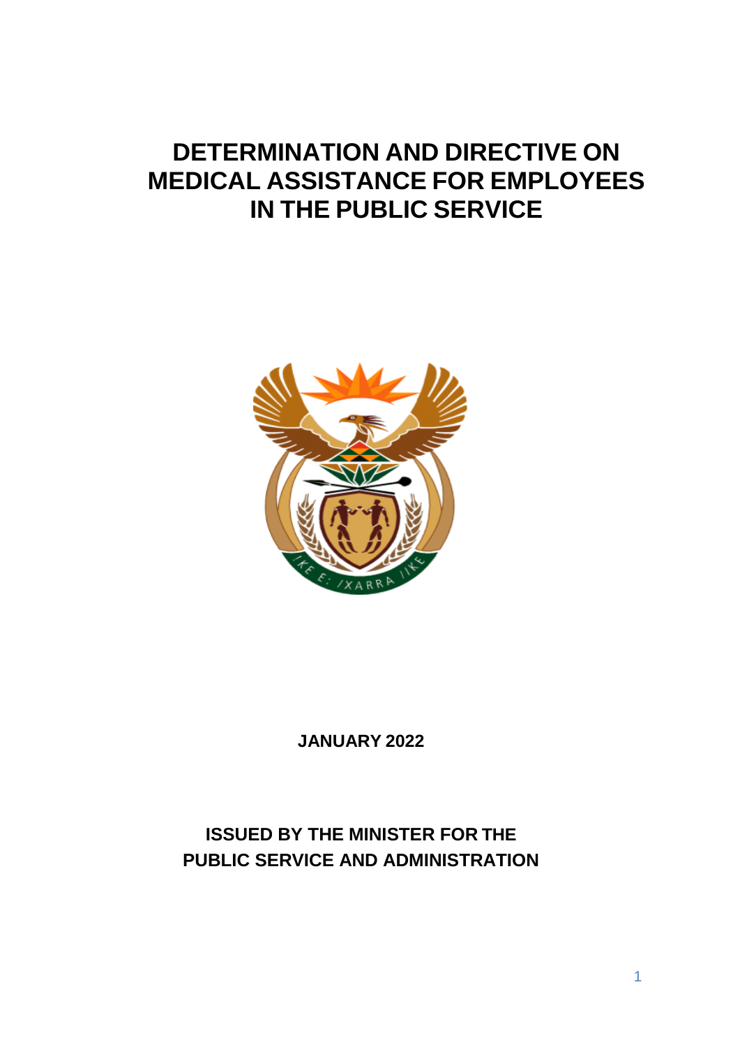# **DETERMINATION AND DIRECTIVE ON MEDICAL ASSISTANCE FOR EMPLOYEES IN THE PUBLIC SERVICE**



**JANUARY 2022**

# **ISSUED BY THE MINISTER FOR THE PUBLIC SERVICE AND ADMINISTRATION**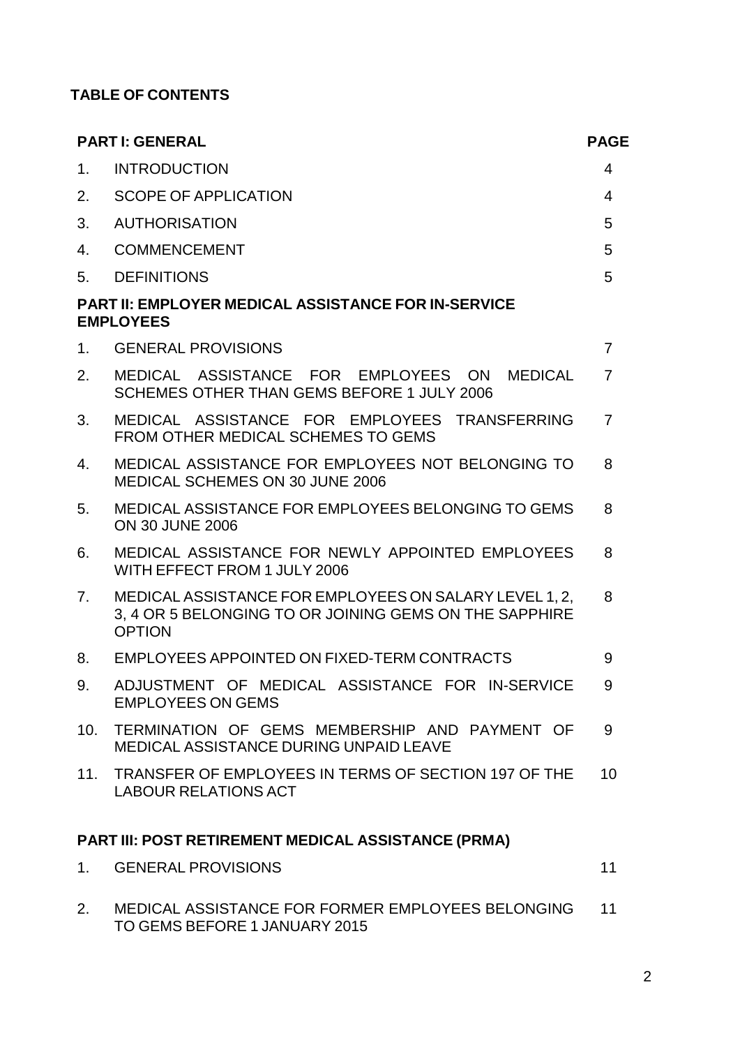# **TABLE OF CONTENTS**

|                | <b>PARTI: GENERAL</b>                                                                                                             | <b>PAGE</b>    |
|----------------|-----------------------------------------------------------------------------------------------------------------------------------|----------------|
| 1 <sub>1</sub> | <b>INTRODUCTION</b>                                                                                                               | 4              |
| 2.             | <b>SCOPE OF APPLICATION</b>                                                                                                       | $\overline{4}$ |
| 3.             | <b>AUTHORISATION</b>                                                                                                              | 5              |
| 4.             | <b>COMMENCEMENT</b>                                                                                                               | 5              |
| 5.             | <b>DEFINITIONS</b>                                                                                                                | 5              |
|                | <b>PART II: EMPLOYER MEDICAL ASSISTANCE FOR IN-SERVICE</b><br><b>EMPLOYEES</b>                                                    |                |
| 1 <sub>1</sub> | <b>GENERAL PROVISIONS</b>                                                                                                         | $\overline{7}$ |
| 2.             | MEDICAL ASSISTANCE FOR EMPLOYEES ON<br><b>MEDICAL</b><br>SCHEMES OTHER THAN GEMS BEFORE 1 JULY 2006                               | $\overline{7}$ |
| 3.             | MEDICAL ASSISTANCE FOR EMPLOYEES TRANSFERRING<br>FROM OTHER MEDICAL SCHEMES TO GEMS                                               | $\overline{7}$ |
| 4.             | MEDICAL ASSISTANCE FOR EMPLOYEES NOT BELONGING TO<br>MEDICAL SCHEMES ON 30 JUNE 2006                                              | 8              |
| 5.             | MEDICAL ASSISTANCE FOR EMPLOYEES BELONGING TO GEMS<br><b>ON 30 JUNE 2006</b>                                                      | 8              |
| 6.             | MEDICAL ASSISTANCE FOR NEWLY APPOINTED EMPLOYEES<br>WITH EFFECT FROM 1 JULY 2006                                                  | 8              |
| 7 <sub>1</sub> | MEDICAL ASSISTANCE FOR EMPLOYEES ON SALARY LEVEL 1, 2,<br>3, 4 OR 5 BELONGING TO OR JOINING GEMS ON THE SAPPHIRE<br><b>OPTION</b> | 8              |
| 8.             | EMPLOYEES APPOINTED ON FIXED-TERM CONTRACTS                                                                                       | 9              |
| 9.             | ADJUSTMENT OF MEDICAL ASSISTANCE FOR IN-SERVICE<br><b>EMPLOYEES ON GEMS</b>                                                       | 9              |
|                | 10. TERMINATION OF GEMS MEMBERSHIP AND PAYMENT OF<br>MEDICAL ASSISTANCE DURING UNPAID LEAVE                                       | 9              |
|                | 11. TRANSFER OF EMPLOYEES IN TERMS OF SECTION 197 OF THE<br><b>LABOUR RELATIONS ACT</b>                                           | 10             |
|                | PART III: POST RETIREMENT MEDICAL ASSISTANCE (PRMA)                                                                               |                |
| 1.             | <b>GENERAL PROVISIONS</b>                                                                                                         | 11             |
| 2.             | MEDICAL ASSISTANCE FOR FORMER EMPLOYEES BELONGING                                                                                 | 11             |

TO GEMS BEFORE 1 JANUARY 2015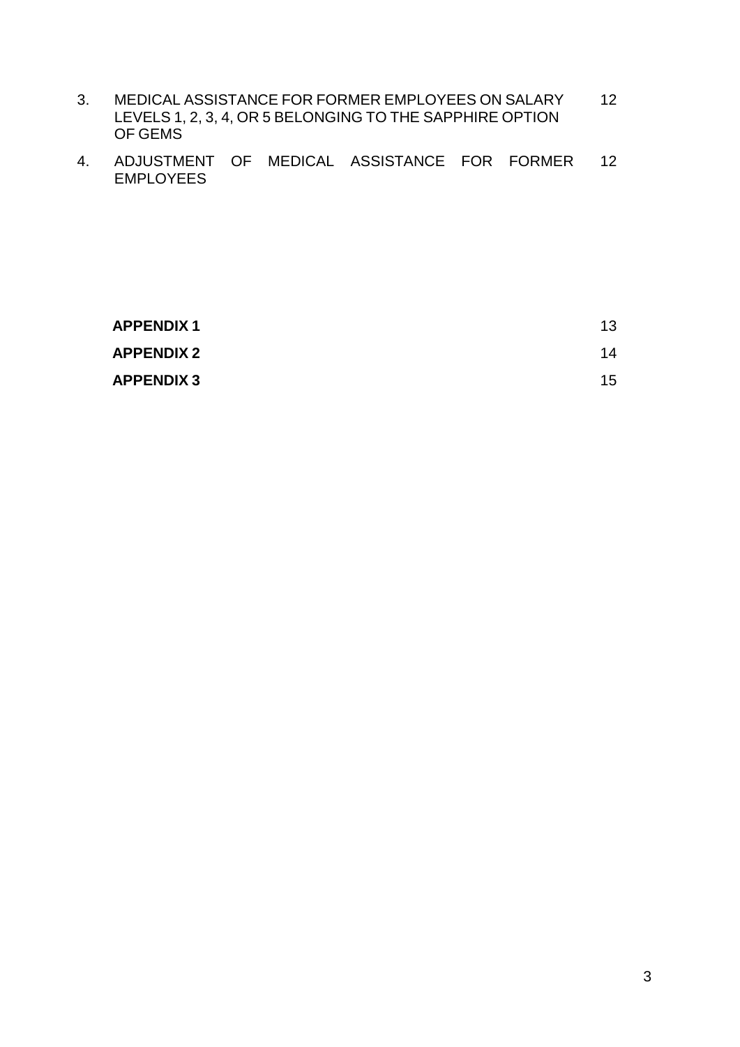- 3. MEDICAL ASSISTANCE FOR FORMER EMPLOYEES ON SALARY LEVELS 1, 2, 3, 4, OR 5 BELONGING TO THE SAPPHIRE OPTION OF GEMS 12
- 4. ADJUSTMENT OF MEDICAL ASSISTANCE FOR FORMER EMPLOYEES 12

| <b>APPENDIX1</b>  | 13 |
|-------------------|----|
| <b>APPENDIX 2</b> | 14 |
| <b>APPENDIX 3</b> | 15 |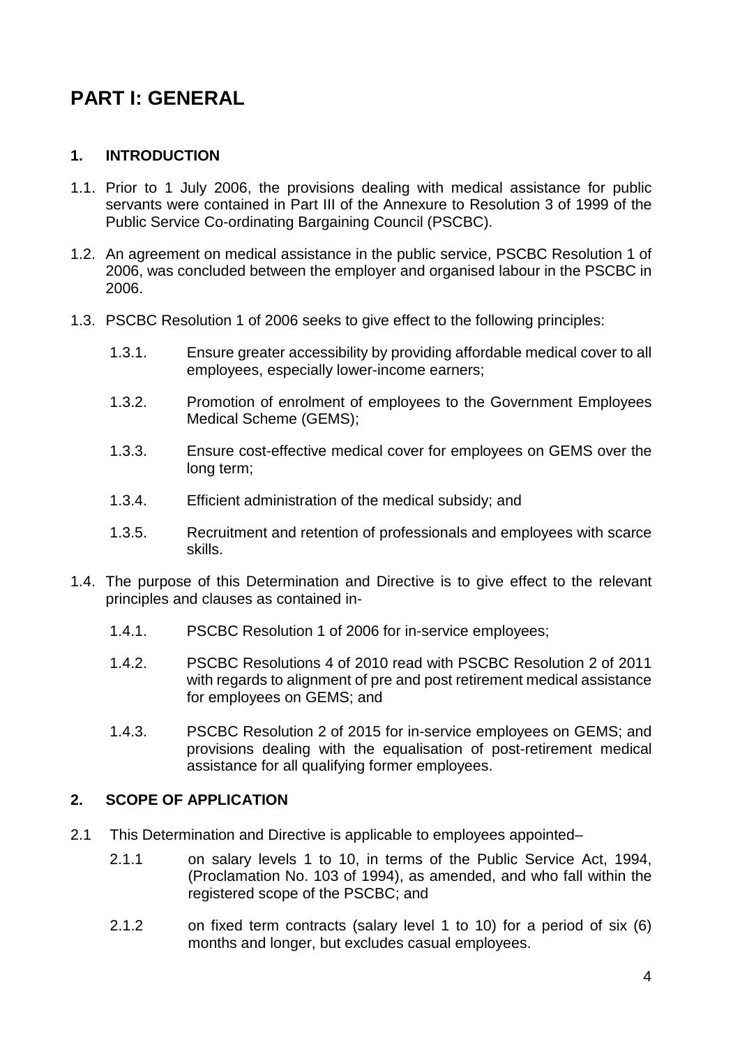# **PART I: GENERAL**

# **1. INTRODUCTION**

- 1.1. Prior to 1 July 2006, the provisions dealing with medical assistance for public servants were contained in Part III of the Annexure to Resolution 3 of 1999 of the Public Service Co-ordinating Bargaining Council (PSCBC).
- 1.2. An agreement on medical assistance in the public service, PSCBC Resolution 1 of 2006, was concluded between the employer and organised labour in the PSCBC in 2006.
- 1.3. PSCBC Resolution 1 of 2006 seeks to give effect to the following principles:
	- 1.3.1. Ensure greater accessibility by providing affordable medical cover to all employees, especially lower-income earners;
	- 1.3.2. Promotion of enrolment of employees to the Government Employees Medical Scheme (GEMS);
	- 1.3.3. Ensure cost-effective medical cover for employees on GEMS over the long term;
	- 1.3.4. Efficient administration of the medical subsidy; and
	- 1.3.5. Recruitment and retention of professionals and employees with scarce skills.
- 1.4. The purpose of this Determination and Directive is to give effect to the relevant principles and clauses as contained in-
	- 1.4.1. PSCBC Resolution 1 of 2006 for in-service employees;
	- 1.4.2. PSCBC Resolutions 4 of 2010 read with PSCBC Resolution 2 of 2011 with regards to alignment of pre and post retirement medical assistance for employees on GEMS; and
	- 1.4.3. PSCBC Resolution 2 of 2015 for in-service employees on GEMS; and provisions dealing with the equalisation of post-retirement medical assistance for all qualifying former employees.

# **2. SCOPE OF APPLICATION**

- 2.1 This Determination and Directive is applicable to employees appointed–
	- 2.1.1 on salary levels 1 to 10, in terms of the Public Service Act, 1994, (Proclamation No. 103 of 1994), as amended, and who fall within the registered scope of the PSCBC; and
	- 2.1.2 on fixed term contracts (salary level 1 to 10) for a period of six (6) months and longer, but excludes casual employees.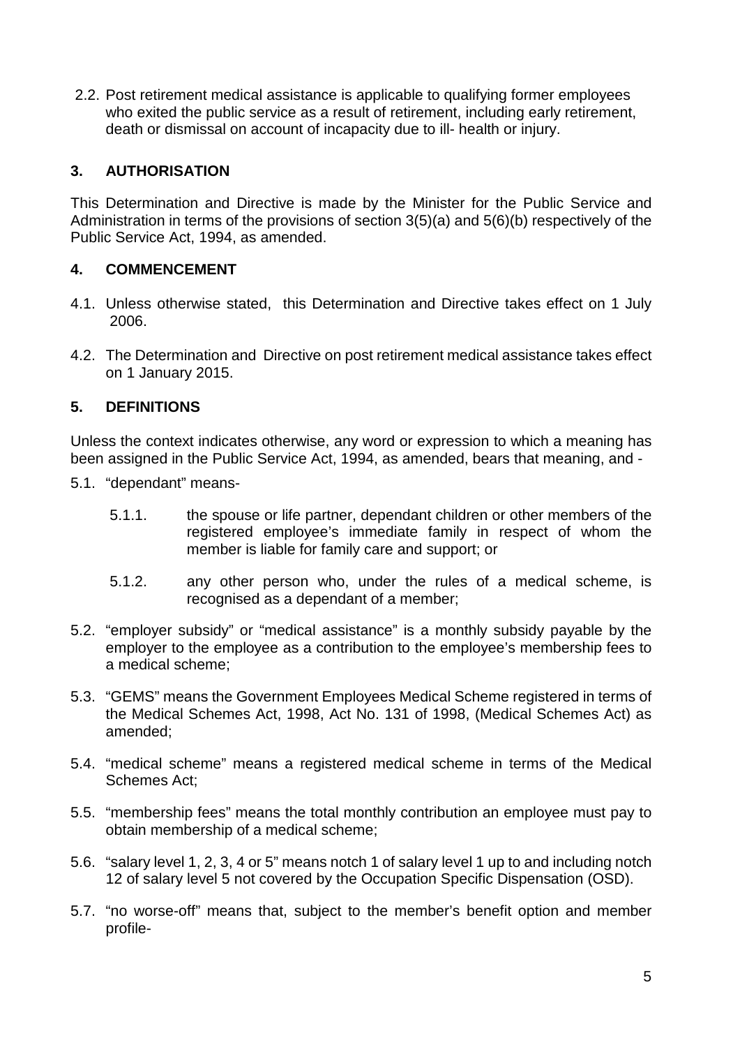2.2. Post retirement medical assistance is applicable to qualifying former employees who exited the public service as a result of retirement, including early retirement, death or dismissal on account of incapacity due to ill- health or injury.

# **3. AUTHORISATION**

This Determination and Directive is made by the Minister for the Public Service and Administration in terms of the provisions of section 3(5)(a) and 5(6)(b) respectively of the Public Service Act, 1994, as amended.

# **4. COMMENCEMENT**

- 4.1. Unless otherwise stated, this Determination and Directive takes effect on 1 July 2006.
- 4.2. The Determination and Directive on post retirement medical assistance takes effect on 1 January 2015.

# **5. DEFINITIONS**

Unless the context indicates otherwise, any word or expression to which a meaning has been assigned in the Public Service Act, 1994, as amended, bears that meaning, and -

- 5.1. "dependant" means-
	- 5.1.1. the spouse or life partner, dependant children or other members of the registered employee's immediate family in respect of whom the member is liable for family care and support; or
	- 5.1.2. any other person who, under the rules of a medical scheme, is recognised as a dependant of a member;
- 5.2. "employer subsidy" or "medical assistance" is a monthly subsidy payable by the employer to the employee as a contribution to the employee's membership fees to a medical scheme;
- 5.3. "GEMS" means the Government Employees Medical Scheme registered in terms of the Medical Schemes Act, 1998, Act No. 131 of 1998, (Medical Schemes Act) as amended;
- 5.4. "medical scheme" means a registered medical scheme in terms of the Medical Schemes Act;
- 5.5. "membership fees" means the total monthly contribution an employee must pay to obtain membership of a medical scheme;
- 5.6. "salary level 1, 2, 3, 4 or 5" means notch 1 of salary level 1 up to and including notch 12 of salary level 5 not covered by the Occupation Specific Dispensation (OSD).
- 5.7. "no worse-off" means that, subject to the member's benefit option and member profile-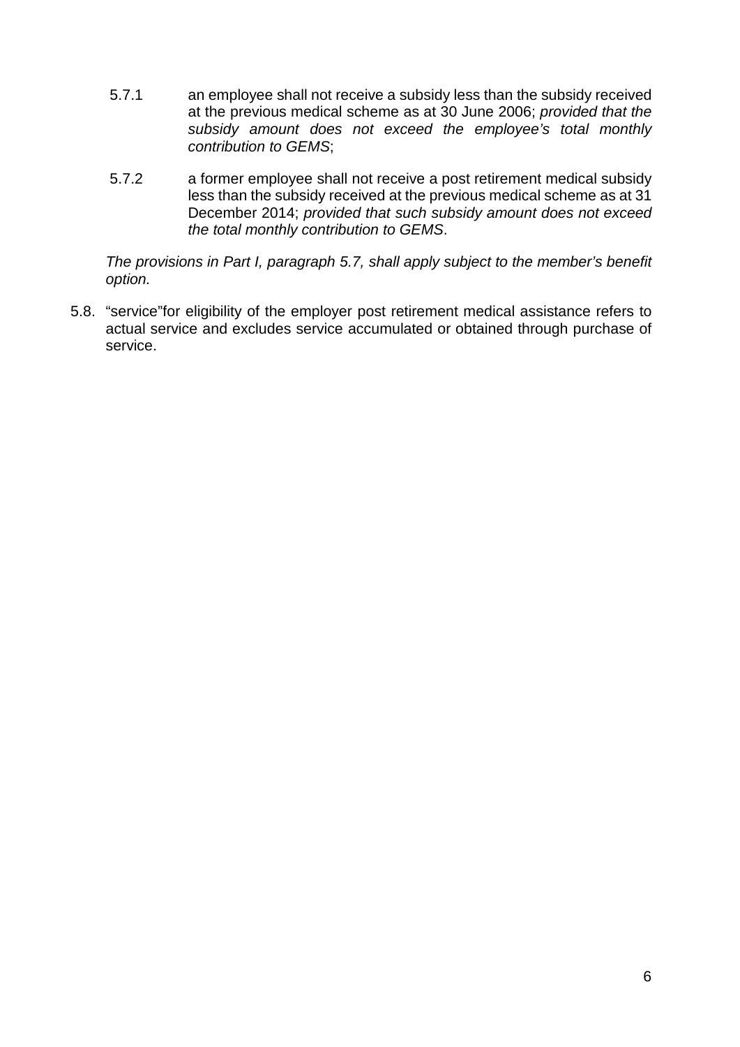- 5.7.1 an employee shall not receive a subsidy less than the subsidy received at the previous medical scheme as at 30 June 2006; *provided that the subsidy amount does not exceed the employee's total monthly contribution to GEMS*;
- 5.7.2 a former employee shall not receive a post retirement medical subsidy less than the subsidy received at the previous medical scheme as at 31 December 2014; *provided that such subsidy amount does not exceed the total monthly contribution to GEMS*.

*The provisions in Part I, paragraph 5.7, shall apply subject to the member's benefit option.*

5.8. "service"for eligibility of the employer post retirement medical assistance refers to actual service and excludes service accumulated or obtained through purchase of service.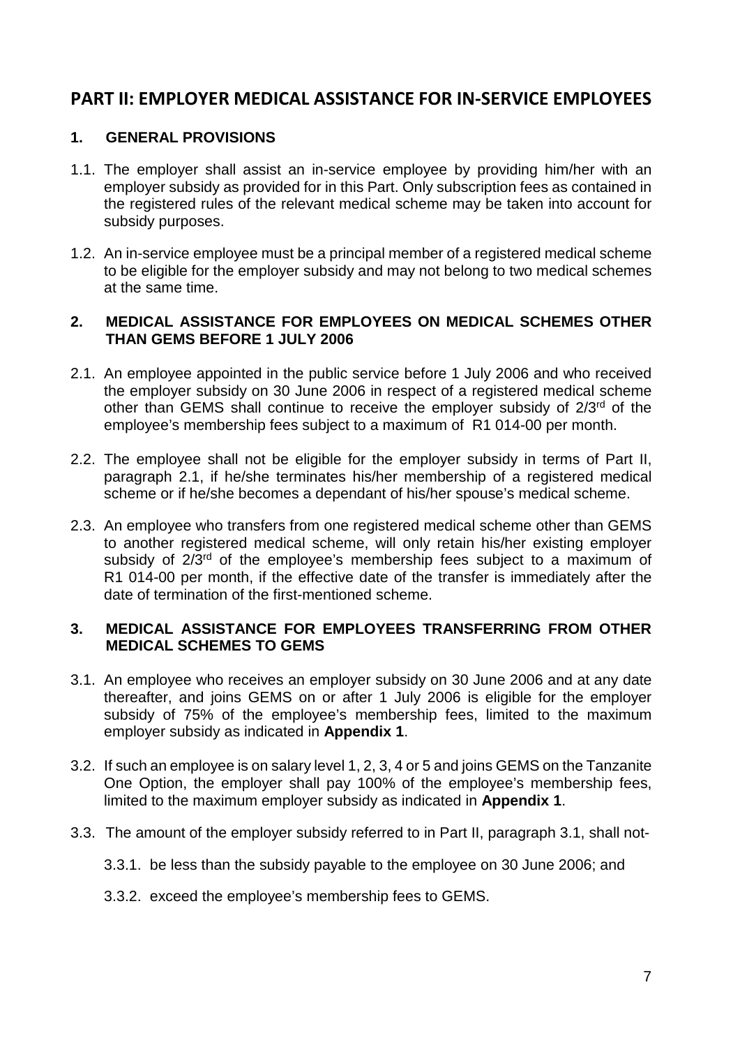# **PART II: EMPLOYER MEDICAL ASSISTANCE FOR IN-SERVICE EMPLOYEES**

# **1. GENERAL PROVISIONS**

- 1.1. The employer shall assist an in-service employee by providing him/her with an employer subsidy as provided for in this Part. Only subscription fees as contained in the registered rules of the relevant medical scheme may be taken into account for subsidy purposes.
- 1.2. An in-service employee must be a principal member of a registered medical scheme to be eligible for the employer subsidy and may not belong to two medical schemes at the same time.

# **2. MEDICAL ASSISTANCE FOR EMPLOYEES ON MEDICAL SCHEMES OTHER THAN GEMS BEFORE 1 JULY 2006**

- 2.1. An employee appointed in the public service before 1 July 2006 and who received the employer subsidy on 30 June 2006 in respect of a registered medical scheme other than GEMS shall continue to receive the employer subsidy of 2/3<sup>rd</sup> of the employee's membership fees subject to a maximum of R1 014-00 per month.
- 2.2. The employee shall not be eligible for the employer subsidy in terms of Part II, paragraph 2.1, if he/she terminates his/her membership of a registered medical scheme or if he/she becomes a dependant of his/her spouse's medical scheme.
- 2.3. An employee who transfers from one registered medical scheme other than GEMS to another registered medical scheme, will only retain his/her existing employer subsidy of  $2/3<sup>rd</sup>$  of the employee's membership fees subject to a maximum of R1 014-00 per month, if the effective date of the transfer is immediately after the date of termination of the first-mentioned scheme.

# **3. MEDICAL ASSISTANCE FOR EMPLOYEES TRANSFERRING FROM OTHER MEDICAL SCHEMES TO GEMS**

- 3.1. An employee who receives an employer subsidy on 30 June 2006 and at any date thereafter, and joins GEMS on or after 1 July 2006 is eligible for the employer subsidy of 75% of the employee's membership fees, limited to the maximum employer subsidy as indicated in **Appendix 1**.
- 3.2. If such an employee is on salary level 1, 2, 3, 4 or 5 and joins GEMS on the Tanzanite One Option, the employer shall pay 100% of the employee's membership fees, limited to the maximum employer subsidy as indicated in **Appendix 1**.
- 3.3. The amount of the employer subsidy referred to in Part II, paragraph 3.1, shall not-
	- 3.3.1. be less than the subsidy payable to the employee on 30 June 2006; and
	- 3.3.2. exceed the employee's membership fees to GEMS.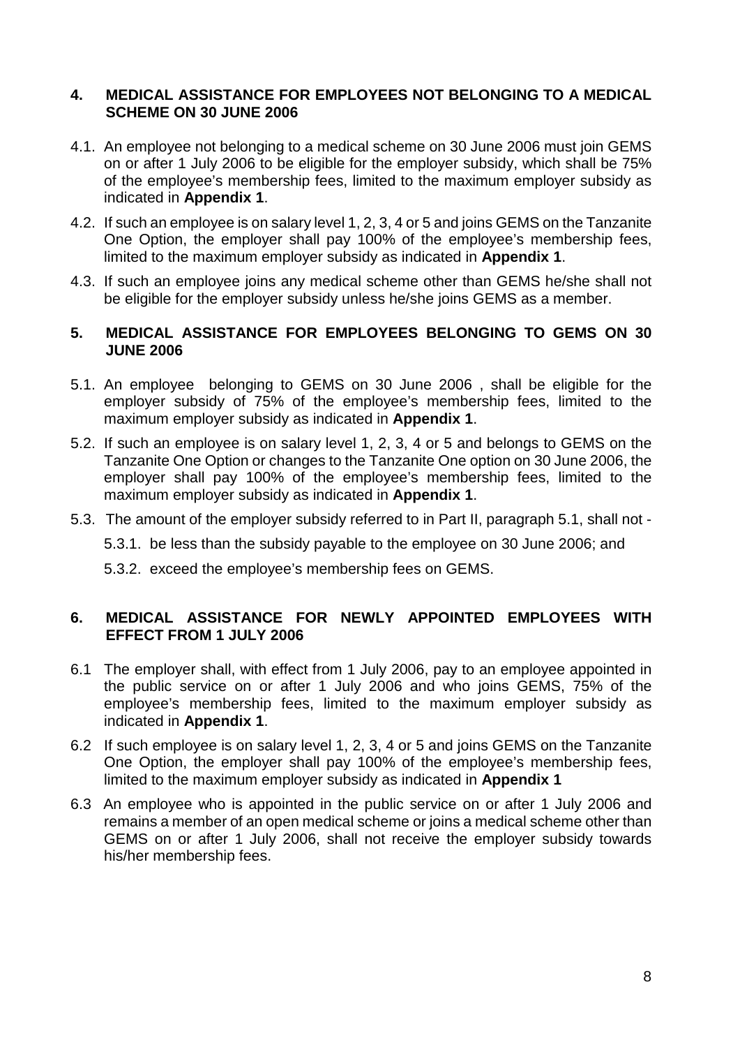## **4. MEDICAL ASSISTANCE FOR EMPLOYEES NOT BELONGING TO A MEDICAL SCHEME ON 30 JUNE 2006**

- 4.1. An employee not belonging to a medical scheme on 30 June 2006 must join GEMS on or after 1 July 2006 to be eligible for the employer subsidy, which shall be 75% of the employee's membership fees, limited to the maximum employer subsidy as indicated in **Appendix 1**.
- 4.2. If such an employee is on salary level 1, 2, 3, 4 or 5 and joins GEMS on the Tanzanite One Option, the employer shall pay 100% of the employee's membership fees, limited to the maximum employer subsidy as indicated in **Appendix 1**.
- 4.3. If such an employee joins any medical scheme other than GEMS he/she shall not be eligible for the employer subsidy unless he/she joins GEMS as a member.

### **5. MEDICAL ASSISTANCE FOR EMPLOYEES BELONGING TO GEMS ON 30 JUNE 2006**

- 5.1. An employee belonging to GEMS on 30 June 2006 , shall be eligible for the employer subsidy of 75% of the employee's membership fees, limited to the maximum employer subsidy as indicated in **Appendix 1**.
- 5.2. If such an employee is on salary level 1, 2, 3, 4 or 5 and belongs to GEMS on the Tanzanite One Option or changes to the Tanzanite One option on 30 June 2006, the employer shall pay 100% of the employee's membership fees, limited to the maximum employer subsidy as indicated in **Appendix 1**.
- 5.3. The amount of the employer subsidy referred to in Part II, paragraph 5.1, shall not
	- 5.3.1. be less than the subsidy payable to the employee on 30 June 2006; and
	- 5.3.2. exceed the employee's membership fees on GEMS.

# **6. MEDICAL ASSISTANCE FOR NEWLY APPOINTED EMPLOYEES WITH EFFECT FROM 1 JULY 2006**

- 6.1 The employer shall, with effect from 1 July 2006, pay to an employee appointed in the public service on or after 1 July 2006 and who joins GEMS, 75% of the employee's membership fees, limited to the maximum employer subsidy as indicated in **Appendix 1**.
- 6.2 If such employee is on salary level 1, 2, 3, 4 or 5 and joins GEMS on the Tanzanite One Option, the employer shall pay 100% of the employee's membership fees, limited to the maximum employer subsidy as indicated in **Appendix 1**
- 6.3 An employee who is appointed in the public service on or after 1 July 2006 and remains a member of an open medical scheme or joins a medical scheme other than GEMS on or after 1 July 2006, shall not receive the employer subsidy towards his/her membership fees.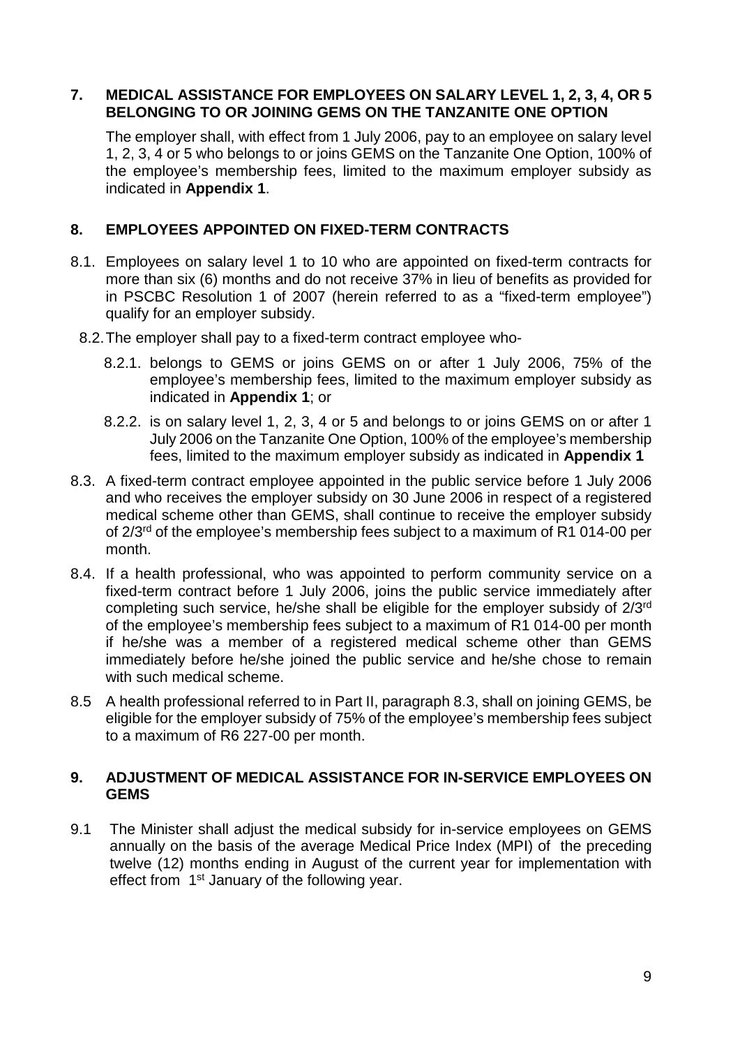# **7. MEDICAL ASSISTANCE FOR EMPLOYEES ON SALARY LEVEL 1, 2, 3, 4, OR 5 BELONGING TO OR JOINING GEMS ON THE TANZANITE ONE OPTION**

The employer shall, with effect from 1 July 2006, pay to an employee on salary level 1, 2, 3, 4 or 5 who belongs to or joins GEMS on the Tanzanite One Option, 100% of the employee's membership fees, limited to the maximum employer subsidy as indicated in **Appendix 1**.

# **8. EMPLOYEES APPOINTED ON FIXED-TERM CONTRACTS**

- 8.1. Employees on salary level 1 to 10 who are appointed on fixed-term contracts for more than six (6) months and do not receive 37% in lieu of benefits as provided for in PSCBC Resolution 1 of 2007 (herein referred to as a "fixed-term employee") qualify for an employer subsidy.
- 8.2.The employer shall pay to a fixed-term contract employee who-
	- 8.2.1. belongs to GEMS or joins GEMS on or after 1 July 2006, 75% of the employee's membership fees, limited to the maximum employer subsidy as indicated in **Appendix 1**; or
	- 8.2.2. is on salary level 1, 2, 3, 4 or 5 and belongs to or joins GEMS on or after 1 July 2006 on the Tanzanite One Option, 100% of the employee's membership fees, limited to the maximum employer subsidy as indicated in **Appendix 1**
- 8.3. A fixed-term contract employee appointed in the public service before 1 July 2006 and who receives the employer subsidy on 30 June 2006 in respect of a registered medical scheme other than GEMS, shall continue to receive the employer subsidy of 2/3rd of the employee's membership fees subject to a maximum of R1 014-00 per month.
- 8.4. If a health professional, who was appointed to perform community service on a fixed-term contract before 1 July 2006, joins the public service immediately after completing such service, he/she shall be eligible for the employer subsidy of 2/3rd of the employee's membership fees subject to a maximum of R1 014-00 per month if he/she was a member of a registered medical scheme other than GEMS immediately before he/she joined the public service and he/she chose to remain with such medical scheme.
- 8.5 A health professional referred to in Part II, paragraph 8.3, shall on joining GEMS, be eligible for the employer subsidy of 75% of the employee's membership fees subject to a maximum of R6 227-00 per month.

### **9. ADJUSTMENT OF MEDICAL ASSISTANCE FOR IN-SERVICE EMPLOYEES ON GEMS**

9.1 The Minister shall adjust the medical subsidy for in-service employees on GEMS annually on the basis of the average Medical Price Index (MPI) of the preceding twelve (12) months ending in August of the current year for implementation with effect from 1<sup>st</sup> January of the following year.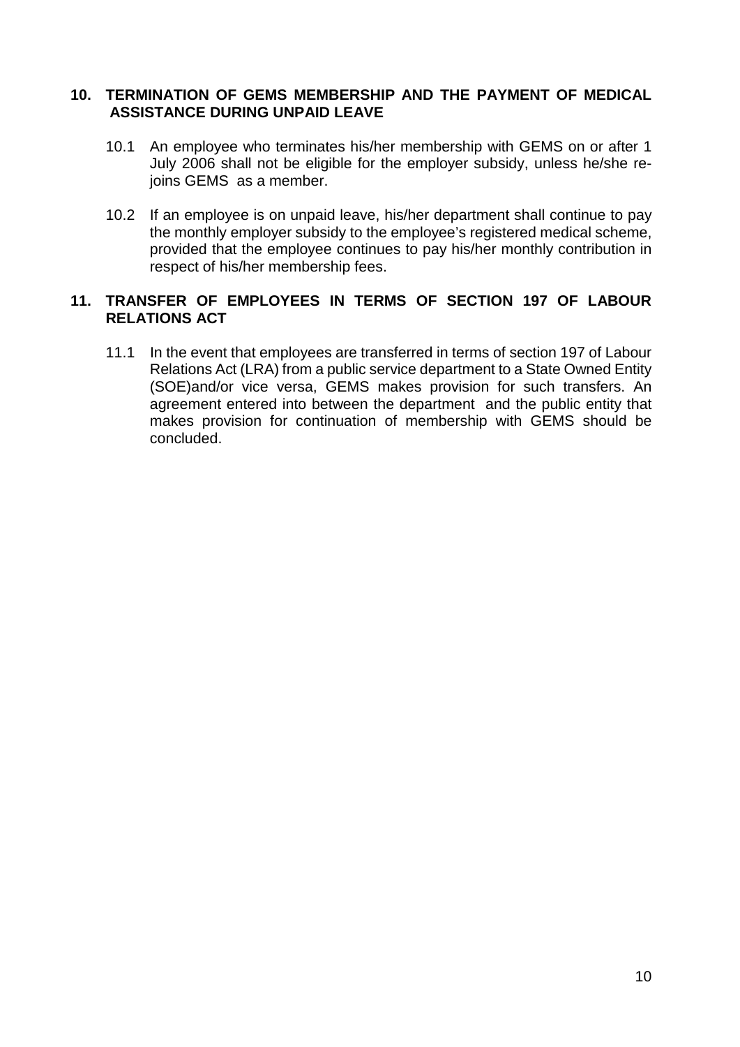### **10. TERMINATION OF GEMS MEMBERSHIP AND THE PAYMENT OF MEDICAL ASSISTANCE DURING UNPAID LEAVE**

- 10.1 An employee who terminates his/her membership with GEMS on or after 1 July 2006 shall not be eligible for the employer subsidy, unless he/she rejoins GEMS as a member.
- 10.2 If an employee is on unpaid leave, his/her department shall continue to pay the monthly employer subsidy to the employee's registered medical scheme, provided that the employee continues to pay his/her monthly contribution in respect of his/her membership fees.

# **11. TRANSFER OF EMPLOYEES IN TERMS OF SECTION 197 OF LABOUR RELATIONS ACT**

11.1 In the event that employees are transferred in terms of section 197 of Labour Relations Act (LRA) from a public service department to a State Owned Entity (SOE)and/or vice versa, GEMS makes provision for such transfers. An agreement entered into between the department and the public entity that makes provision for continuation of membership with GEMS should be concluded.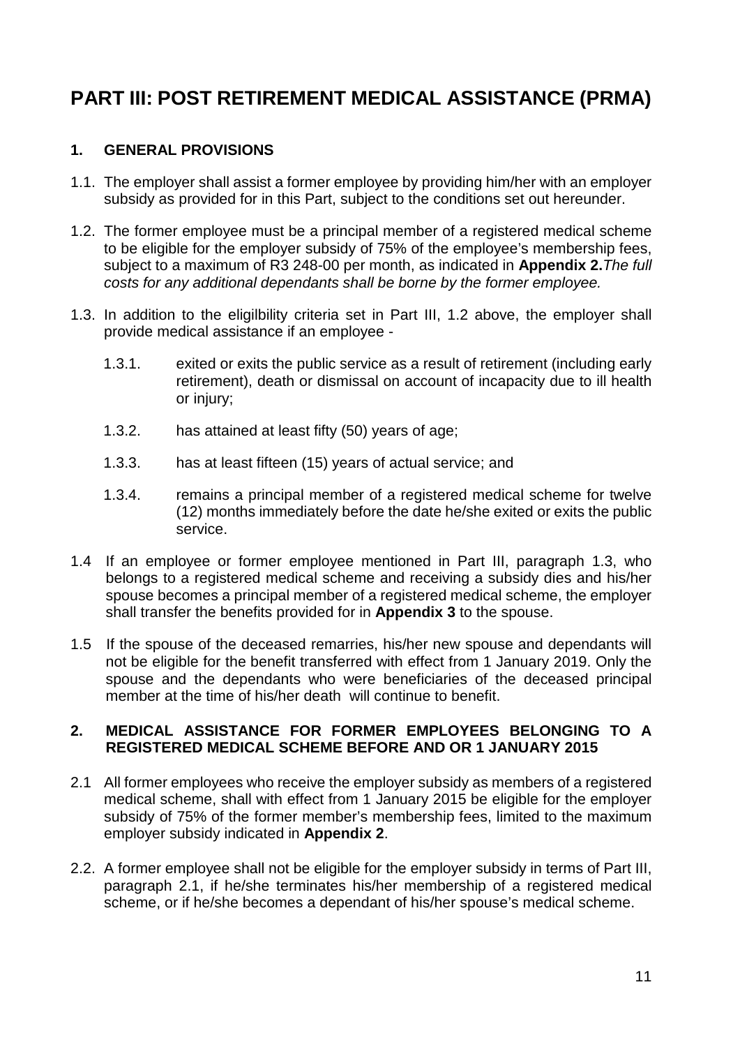# **PART III: POST RETIREMENT MEDICAL ASSISTANCE (PRMA)**

# **1. GENERAL PROVISIONS**

- 1.1. The employer shall assist a former employee by providing him/her with an employer subsidy as provided for in this Part, subject to the conditions set out hereunder.
- 1.2. The former employee must be a principal member of a registered medical scheme to be eligible for the employer subsidy of 75% of the employee's membership fees, subject to a maximum of R3 248-00 per month, as indicated in **Appendix 2.***The full costs for any additional dependants shall be borne by the former employee.*
- 1.3. In addition to the eligilbility criteria set in Part III, 1.2 above, the employer shall provide medical assistance if an employee -
	- 1.3.1. exited or exits the public service as a result of retirement (including early retirement), death or dismissal on account of incapacity due to ill health or injury;
	- 1.3.2. has attained at least fifty (50) years of age;
	- 1.3.3. has at least fifteen (15) years of actual service; and
	- 1.3.4. remains a principal member of a registered medical scheme for twelve (12) months immediately before the date he/she exited or exits the public service.
- 1.4 If an employee or former employee mentioned in Part III, paragraph 1.3, who belongs to a registered medical scheme and receiving a subsidy dies and his/her spouse becomes a principal member of a registered medical scheme, the employer shall transfer the benefits provided for in **Appendix 3** to the spouse.
- 1.5 If the spouse of the deceased remarries, his/her new spouse and dependants will not be eligible for the benefit transferred with effect from 1 January 2019. Only the spouse and the dependants who were beneficiaries of the deceased principal member at the time of his/her death will continue to benefit.

# **2. MEDICAL ASSISTANCE FOR FORMER EMPLOYEES BELONGING TO A REGISTERED MEDICAL SCHEME BEFORE AND OR 1 JANUARY 2015**

- 2.1 All former employees who receive the employer subsidy as members of a registered medical scheme, shall with effect from 1 January 2015 be eligible for the employer subsidy of 75% of the former member's membership fees, limited to the maximum employer subsidy indicated in **Appendix 2**.
- 2.2. A former employee shall not be eligible for the employer subsidy in terms of Part III, paragraph 2.1, if he/she terminates his/her membership of a registered medical scheme, or if he/she becomes a dependant of his/her spouse's medical scheme.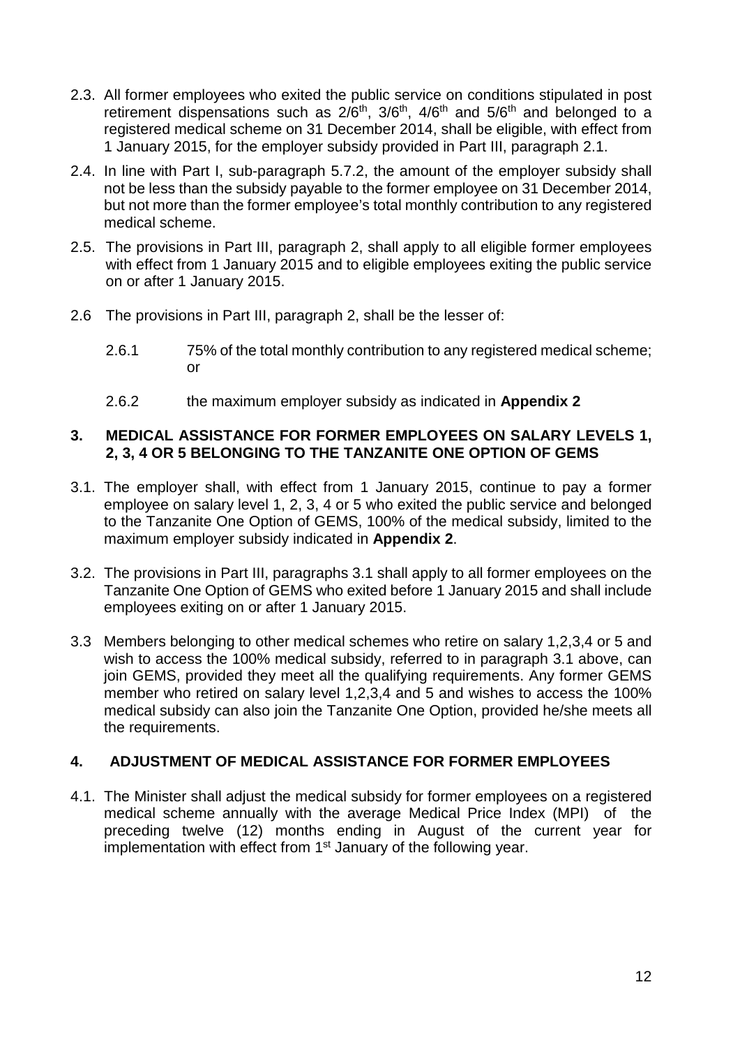- 2.3. All former employees who exited the public service on conditions stipulated in post retirement dispensations such as  $2/6<sup>th</sup>$ ,  $3/6<sup>th</sup>$ ,  $4/6<sup>th</sup>$  and  $5/6<sup>th</sup>$  and belonged to a registered medical scheme on 31 December 2014, shall be eligible, with effect from 1 January 2015, for the employer subsidy provided in Part III, paragraph 2.1.
- 2.4. In line with Part I, sub-paragraph 5.7.2, the amount of the employer subsidy shall not be less than the subsidy payable to the former employee on 31 December 2014, but not more than the former employee's total monthly contribution to any registered medical scheme.
- 2.5. The provisions in Part III, paragraph 2, shall apply to all eligible former employees with effect from 1 January 2015 and to eligible employees exiting the public service on or after 1 January 2015.
- 2.6 The provisions in Part III, paragraph 2, shall be the lesser of:
	- 2.6.1 75% of the total monthly contribution to any registered medical scheme; or
	- 2.6.2 the maximum employer subsidy as indicated in **Appendix 2**

# **3. MEDICAL ASSISTANCE FOR FORMER EMPLOYEES ON SALARY LEVELS 1, 2, 3, 4 OR 5 BELONGING TO THE TANZANITE ONE OPTION OF GEMS**

- 3.1. The employer shall, with effect from 1 January 2015, continue to pay a former employee on salary level 1, 2, 3, 4 or 5 who exited the public service and belonged to the Tanzanite One Option of GEMS, 100% of the medical subsidy, limited to the maximum employer subsidy indicated in **Appendix 2**.
- 3.2. The provisions in Part III, paragraphs 3.1 shall apply to all former employees on the Tanzanite One Option of GEMS who exited before 1 January 2015 and shall include employees exiting on or after 1 January 2015.
- 3.3 Members belonging to other medical schemes who retire on salary 1,2,3,4 or 5 and wish to access the 100% medical subsidy, referred to in paragraph 3.1 above, can join GEMS, provided they meet all the qualifying requirements. Any former GEMS member who retired on salary level 1,2,3,4 and 5 and wishes to access the 100% medical subsidy can also join the Tanzanite One Option, provided he/she meets all the requirements.

# **4. ADJUSTMENT OF MEDICAL ASSISTANCE FOR FORMER EMPLOYEES**

4.1. The Minister shall adjust the medical subsidy for former employees on a registered medical scheme annually with the average Medical Price Index (MPI) of the preceding twelve (12) months ending in August of the current year for implementation with effect from 1<sup>st</sup> January of the following year.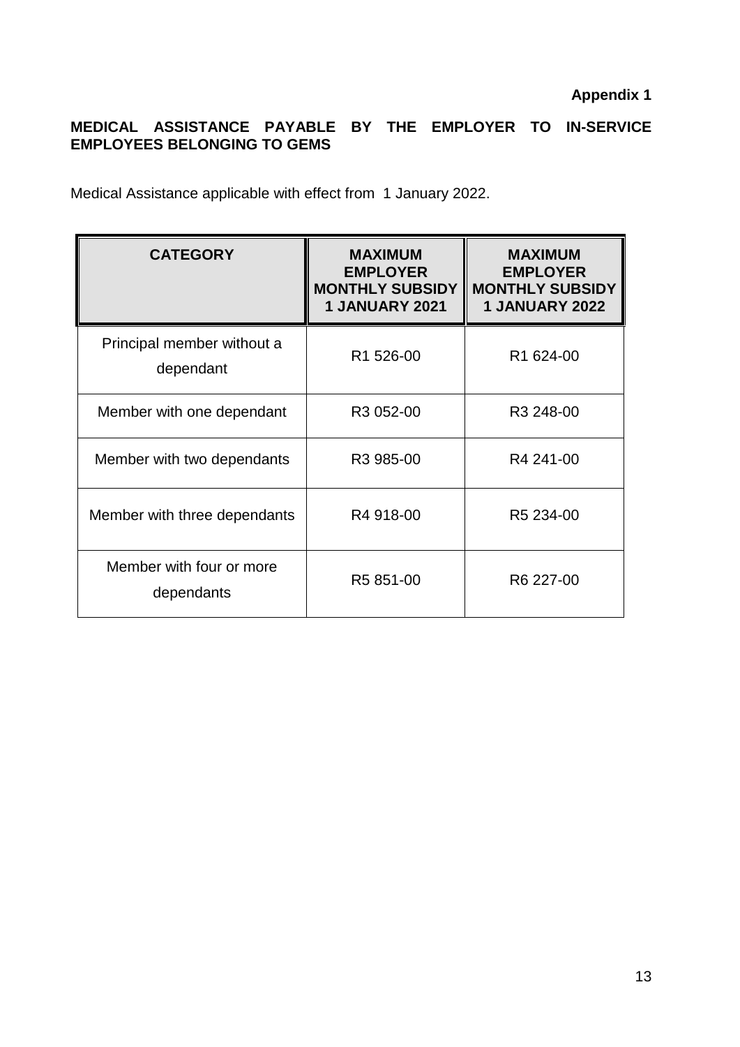# **MEDICAL ASSISTANCE PAYABLE BY THE EMPLOYER TO IN-SERVICE EMPLOYEES BELONGING TO GEMS**

Medical Assistance applicable with effect from 1 January 2022.

| <b>CATEGORY</b>                         | <b>MAXIMUM</b><br><b>EMPLOYER</b><br><b>MONTHLY SUBSIDY</b><br><b>1 JANUARY 2021</b> | <b>MAXIMUM</b><br><b>EMPLOYER</b><br><b>MONTHLY SUBSIDY</b><br><b>1 JANUARY 2022</b> |
|-----------------------------------------|--------------------------------------------------------------------------------------|--------------------------------------------------------------------------------------|
| Principal member without a<br>dependant | R <sub>1</sub> 526-00                                                                | R1 624-00                                                                            |
| Member with one dependant               | R3 052-00                                                                            | R3 248-00                                                                            |
| Member with two dependants              | R <sub>3</sub> 985-00                                                                | R4 241-00                                                                            |
| Member with three dependants            | R4 918-00                                                                            | R5 234-00                                                                            |
| Member with four or more<br>dependants  | R5 851-00                                                                            | R6 227-00                                                                            |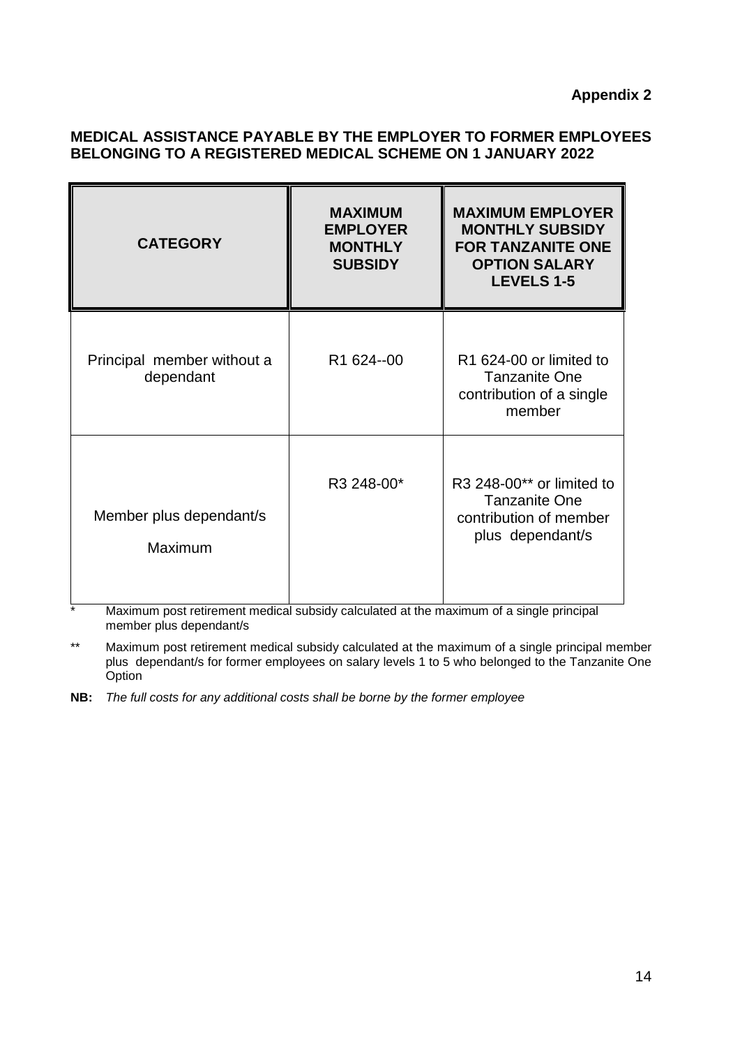## **MEDICAL ASSISTANCE PAYABLE BY THE EMPLOYER TO FORMER EMPLOYEES BELONGING TO A REGISTERED MEDICAL SCHEME ON 1 JANUARY 2022**

| <b>CATEGORY</b>                         | <b>MAXIMUM</b><br><b>EMPLOYER</b><br><b>MONTHLY</b><br><b>SUBSIDY</b> | <b>MAXIMUM EMPLOYER</b><br><b>MONTHLY SUBSIDY</b><br><b>FOR TANZANITE ONE</b><br><b>OPTION SALARY</b><br><b>LEVELS 1-5</b> |
|-----------------------------------------|-----------------------------------------------------------------------|----------------------------------------------------------------------------------------------------------------------------|
| Principal member without a<br>dependant | R1 624--00                                                            | R <sub>1</sub> 624-00 or limited to<br><b>Tanzanite One</b><br>contribution of a single<br>member                          |
| Member plus dependant/s<br>Maximum      | R3 248-00*                                                            | R3 248-00** or limited to<br><b>Tanzanite One</b><br>contribution of member<br>plus dependant/s                            |

\* Maximum post retirement medical subsidy calculated at the maximum of a single principal member plus dependant/s

\*\* Maximum post retirement medical subsidy calculated at the maximum of a single principal member plus dependant/s for former employees on salary levels 1 to 5 who belonged to the Tanzanite One **Option** 

**NB:** *The full costs for any additional costs shall be borne by the former employee*